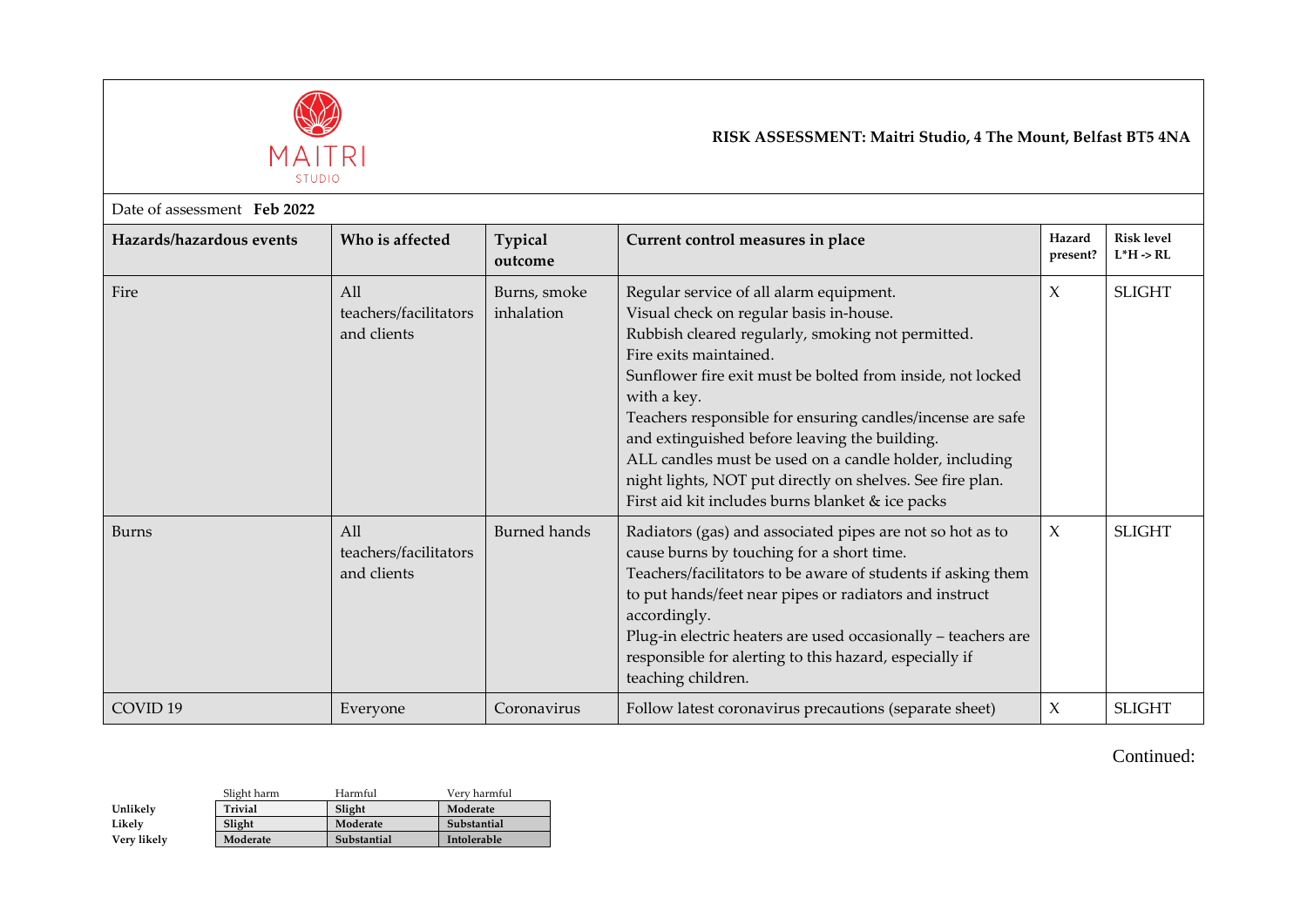

## **RISK ASSESSMENT: Maitri Studio, 4 The Mount, Belfast BT5 4NA**

| Date of assessment Feb 2022 |                                                         |                            |                                                                                                                                                                                                                                                                                                                                                                                                                                                                                                                                          |                     |                                            |  |
|-----------------------------|---------------------------------------------------------|----------------------------|------------------------------------------------------------------------------------------------------------------------------------------------------------------------------------------------------------------------------------------------------------------------------------------------------------------------------------------------------------------------------------------------------------------------------------------------------------------------------------------------------------------------------------------|---------------------|--------------------------------------------|--|
| Hazards/hazardous events    | Who is affected                                         | <b>Typical</b><br>outcome  | Current control measures in place                                                                                                                                                                                                                                                                                                                                                                                                                                                                                                        | Hazard<br>present?  | <b>Risk level</b><br>$L^*H \rightarrow RL$ |  |
| Fire                        | A <sub>11</sub><br>teachers/facilitators<br>and clients | Burns, smoke<br>inhalation | Regular service of all alarm equipment.<br>Visual check on regular basis in-house.<br>Rubbish cleared regularly, smoking not permitted.<br>Fire exits maintained.<br>Sunflower fire exit must be bolted from inside, not locked<br>with a key.<br>Teachers responsible for ensuring candles/incense are safe<br>and extinguished before leaving the building.<br>ALL candles must be used on a candle holder, including<br>night lights, NOT put directly on shelves. See fire plan.<br>First aid kit includes burns blanket & ice packs | X                   | <b>SLIGHT</b>                              |  |
| <b>Burns</b>                | All<br>teachers/facilitators<br>and clients             | <b>Burned hands</b>        | Radiators (gas) and associated pipes are not so hot as to<br>cause burns by touching for a short time.<br>Teachers/facilitators to be aware of students if asking them<br>to put hands/feet near pipes or radiators and instruct<br>accordingly.<br>Plug-in electric heaters are used occasionally - teachers are<br>responsible for alerting to this hazard, especially if<br>teaching children.                                                                                                                                        | $\boldsymbol{\chi}$ | <b>SLIGHT</b>                              |  |
| COVID <sub>19</sub>         | Everyone                                                | Coronavirus                | Follow latest coronavirus precautions (separate sheet)                                                                                                                                                                                                                                                                                                                                                                                                                                                                                   | X                   | <b>SLIGHT</b>                              |  |

Continued:

|             | Slight harm    | Harmful     | Very harmful |
|-------------|----------------|-------------|--------------|
| Unlikely    | <b>Trivial</b> | Slight      | Moderate     |
| Likely      | Slight         | Moderate    | Substantial  |
| Very likely | Moderate       | Substantial | Intolerable  |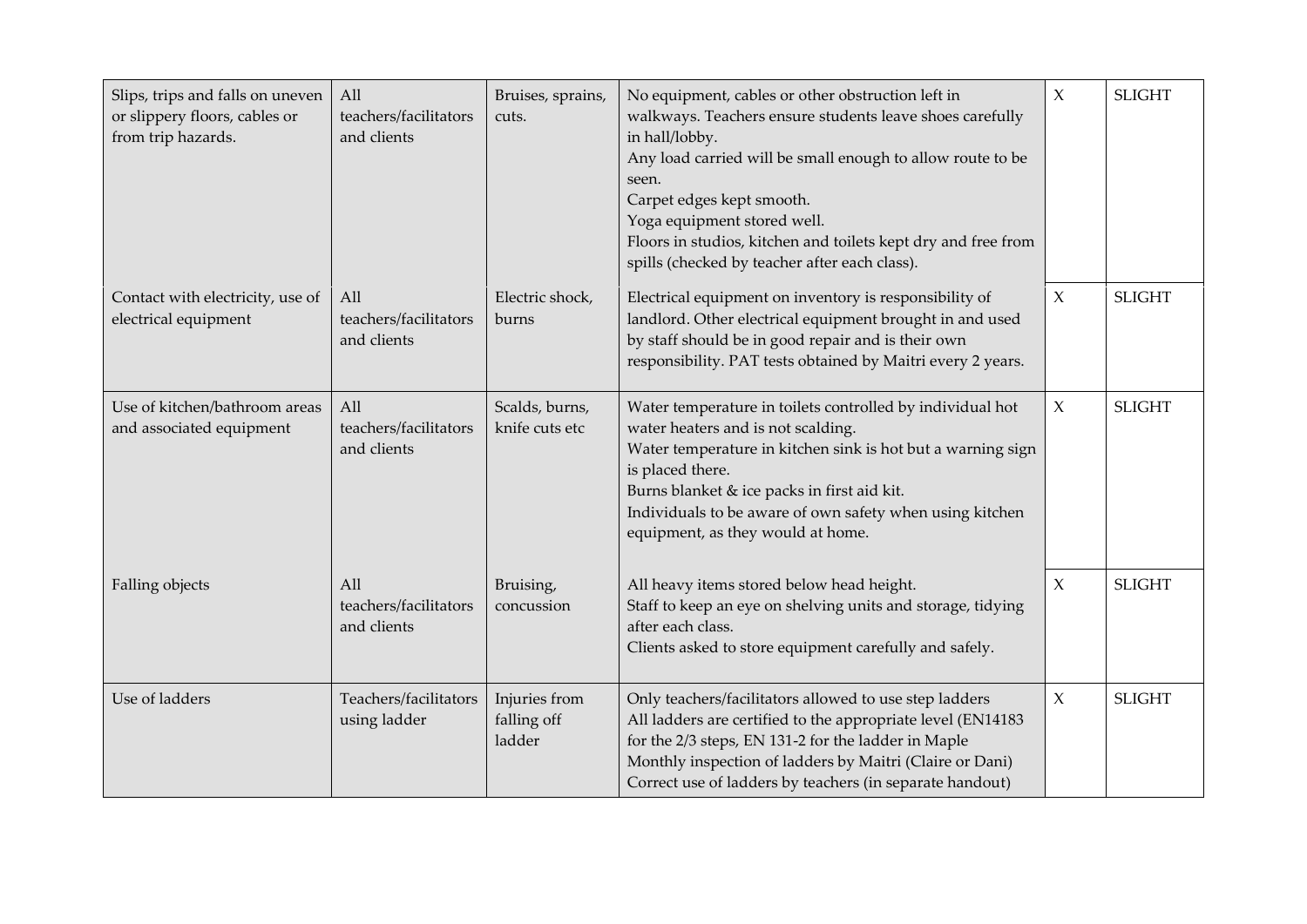| Slips, trips and falls on uneven<br>or slippery floors, cables or<br>from trip hazards. | All<br>teachers/facilitators<br>and clients | Bruises, sprains,<br>cuts.             | No equipment, cables or other obstruction left in<br>walkways. Teachers ensure students leave shoes carefully<br>in hall/lobby.<br>Any load carried will be small enough to allow route to be<br>seen.<br>Carpet edges kept smooth.<br>Yoga equipment stored well.<br>Floors in studios, kitchen and toilets kept dry and free from<br>spills (checked by teacher after each class). | $\mathsf X$ | <b>SLIGHT</b> |
|-----------------------------------------------------------------------------------------|---------------------------------------------|----------------------------------------|--------------------------------------------------------------------------------------------------------------------------------------------------------------------------------------------------------------------------------------------------------------------------------------------------------------------------------------------------------------------------------------|-------------|---------------|
| Contact with electricity, use of<br>electrical equipment                                | All<br>teachers/facilitators<br>and clients | Electric shock,<br>burns               | Electrical equipment on inventory is responsibility of<br>landlord. Other electrical equipment brought in and used<br>by staff should be in good repair and is their own<br>responsibility. PAT tests obtained by Maitri every 2 years.                                                                                                                                              | $\mathsf X$ | <b>SLIGHT</b> |
| Use of kitchen/bathroom areas<br>and associated equipment                               | All<br>teachers/facilitators<br>and clients | Scalds, burns,<br>knife cuts etc       | Water temperature in toilets controlled by individual hot<br>water heaters and is not scalding.<br>Water temperature in kitchen sink is hot but a warning sign<br>is placed there.<br>Burns blanket & ice packs in first aid kit.<br>Individuals to be aware of own safety when using kitchen<br>equipment, as they would at home.                                                   | $\mathsf X$ | <b>SLIGHT</b> |
| Falling objects                                                                         | All<br>teachers/facilitators<br>and clients | Bruising,<br>concussion                | All heavy items stored below head height.<br>Staff to keep an eye on shelving units and storage, tidying<br>after each class.<br>Clients asked to store equipment carefully and safely.                                                                                                                                                                                              | $\chi$      | <b>SLIGHT</b> |
| Use of ladders                                                                          | Teachers/facilitators<br>using ladder       | Injuries from<br>falling off<br>ladder | Only teachers/facilitators allowed to use step ladders<br>All ladders are certified to the appropriate level (EN14183<br>for the 2/3 steps, EN 131-2 for the ladder in Maple<br>Monthly inspection of ladders by Maitri (Claire or Dani)<br>Correct use of ladders by teachers (in separate handout)                                                                                 | $\chi$      | <b>SLIGHT</b> |